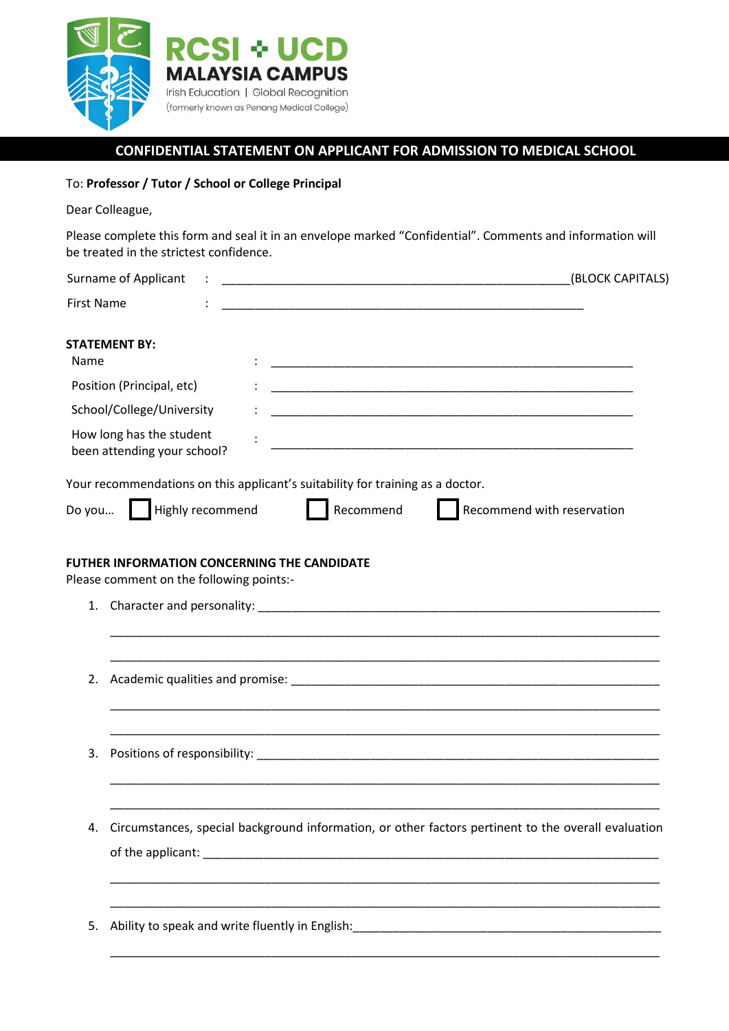

## **CONFIDENTIAL STATEMENT ON APPLICANT FOR ADMISSION TO MEDICAL SCHOOL**

## To: **Professor / Tutor / School or College Principal**

Dear Colleague,

Please complete this form and seal it in an envelope marked "Confidential". Comments and information will be treated in the strictest confidence.

|                           | Surname of Applicant                                    |                  | (BLOCK CAPITALS)                                                                                                       |
|---------------------------|---------------------------------------------------------|------------------|------------------------------------------------------------------------------------------------------------------------|
| <b>First Name</b>         |                                                         |                  |                                                                                                                        |
| Name                      | <b>STATEMENT BY:</b>                                    |                  |                                                                                                                        |
|                           | Position (Principal, etc)                               |                  | <u> 1980 - Johann Barn, mars ann an t-Amhain ann an t-Amhain an t-Amhain an t-Amhain an t-Amhain an t-Amhain an t-</u> |
| School/College/University |                                                         |                  |                                                                                                                        |
|                           | How long has the student<br>been attending your school? |                  |                                                                                                                        |
|                           |                                                         |                  | Your recommendations on this applicant's suitability for training as a doctor.                                         |
| Do you                    |                                                         | Highly recommend | Recommend<br>Recommend with reservation                                                                                |
| 1.<br>2.                  |                                                         |                  |                                                                                                                        |
| 3.                        |                                                         |                  |                                                                                                                        |
| 4.                        |                                                         |                  | Circumstances, special background information, or other factors pertinent to the overall evaluation                    |
| 5.                        |                                                         |                  |                                                                                                                        |